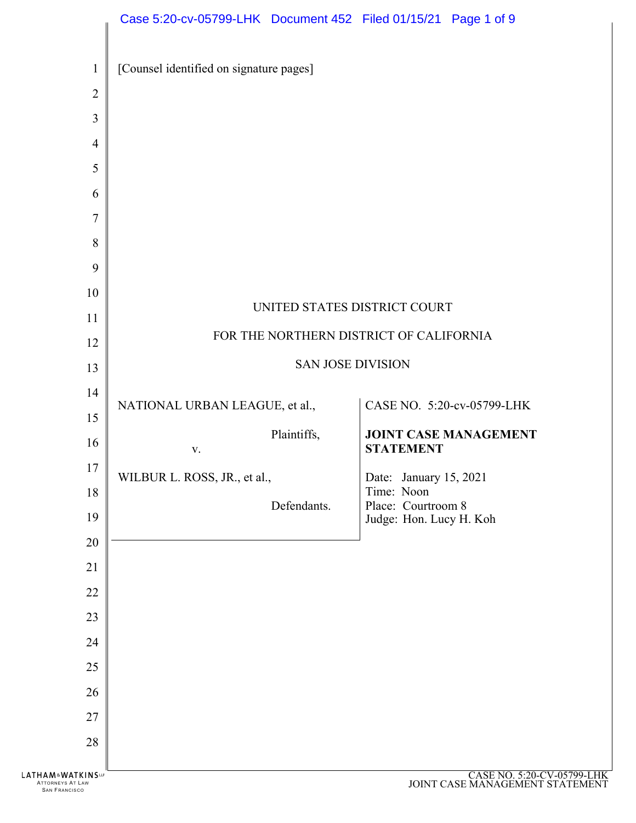

ATTORNEYS AT LAW SAN FRANCISCO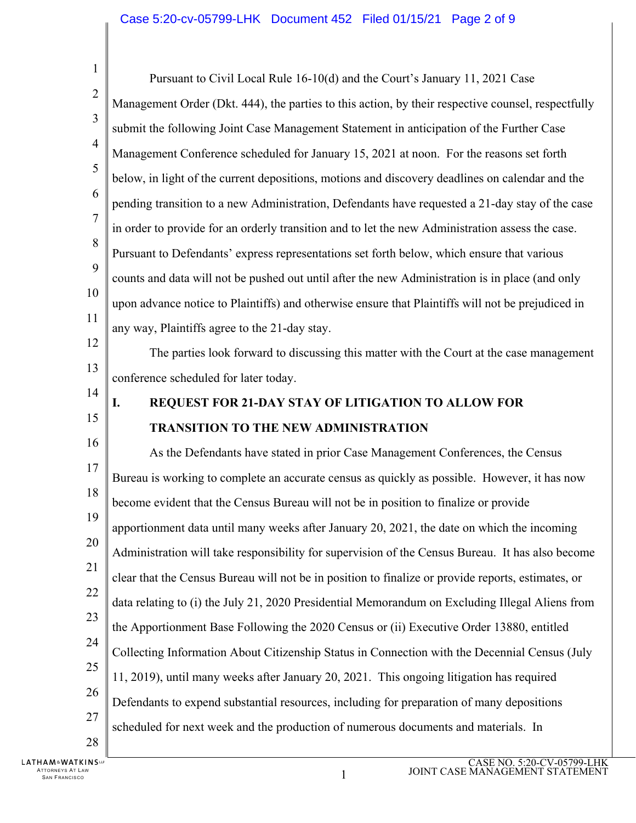| $\mathbf{1}$   | Pursuant to Civil Local Rule 16-10(d) and the Court's January 11, 2021 Case                        |
|----------------|----------------------------------------------------------------------------------------------------|
| $\overline{c}$ | Management Order (Dkt. 444), the parties to this action, by their respective counsel, respectfully |
| 3              | submit the following Joint Case Management Statement in anticipation of the Further Case           |
| $\overline{4}$ | Management Conference scheduled for January 15, 2021 at noon. For the reasons set forth            |
| 5              | below, in light of the current depositions, motions and discovery deadlines on calendar and the    |
| 6              | pending transition to a new Administration, Defendants have requested a 21-day stay of the case    |
| $\overline{7}$ | in order to provide for an orderly transition and to let the new Administration assess the case.   |
| 8              | Pursuant to Defendants' express representations set forth below, which ensure that various         |
| 9              | counts and data will not be pushed out until after the new Administration is in place (and only    |
| 10             | upon advance notice to Plaintiffs) and otherwise ensure that Plaintiffs will not be prejudiced in  |
| 11             |                                                                                                    |
| 12             | any way, Plaintiffs agree to the 21-day stay.                                                      |
| 13             | The parties look forward to discussing this matter with the Court at the case management           |
| 14             | conference scheduled for later today.                                                              |
| 15             | REQUEST FOR 21-DAY STAY OF LITIGATION TO ALLOW FOR<br>I.                                           |
| 16             | <b>TRANSITION TO THE NEW ADMINISTRATION</b>                                                        |
| 17             | As the Defendants have stated in prior Case Management Conferences, the Census                     |
|                | Bureau is working to complete an accurate census as quickly as possible. However, it has now       |
| 18             | become evident that the Census Bureau will not be in position to finalize or provide               |
| 19             | apportionment data until many weeks after January 20, 2021, the date on which the incoming         |
| 20             | Administration will take responsibility for supervision of the Census Bureau. It has also become   |
| 21             | clear that the Census Bureau will not be in position to finalize or provide reports, estimates, or |
| 22             | data relating to (i) the July 21, 2020 Presidential Memorandum on Excluding Illegal Aliens from    |
| 23             | the Apportionment Base Following the 2020 Census or (ii) Executive Order 13880, entitled           |
| 24             | Collecting Information About Citizenship Status in Connection with the Decennial Census (July      |
| 25             | 11, 2019), until many weeks after January 20, 2021. This ongoing litigation has required           |
| 26             | Defendants to expend substantial resources, including for preparation of many depositions          |
| 27             | scheduled for next week and the production of numerous documents and materials. In                 |
| 28             |                                                                                                    |
| <b>KINS</b> LP | $C$ A SE NO 5.20 $C$ V 05700 LHI                                                                   |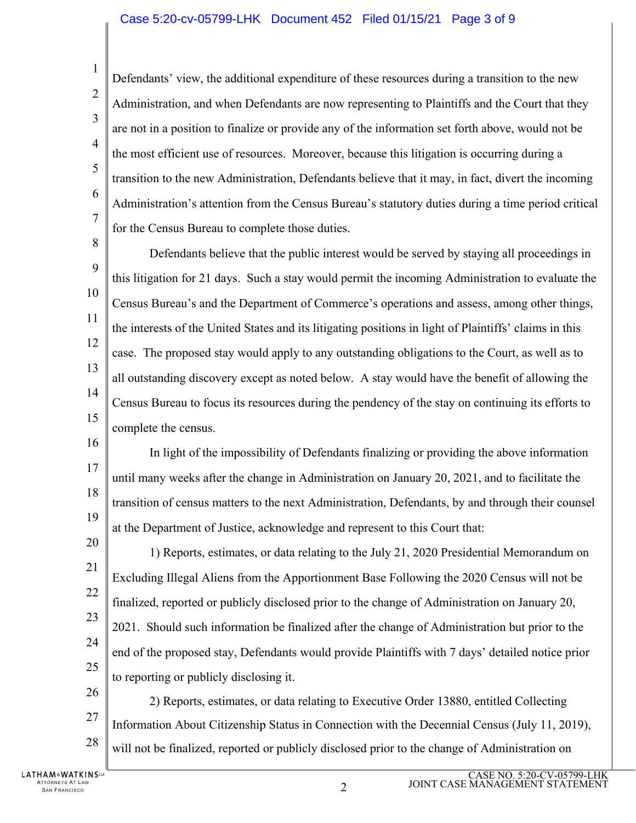## Case 5:20-cv-05799-LHK Document 452 Filed 01/15/21 Page 3 of 9

1  $\overline{2}$ 3 4 5 6 7 Defendants' view, the additional expenditure of these resources during a transition to the new Administration, and when Defendants are now representing to Plaintiffs and the Court that they are not in a position to finalize or provide any of the information set forth above, would not be the most efficient use of resources. Moreover, because this litigation is occurring during a transition to the new Administration, Defendants believe that it may, in fact, divert the incoming Administration's attention from the Census Bureau's statutory duties during a time period critical for the Census Bureau to complete those duties.

8 9 10 11 12 13 14 15 Defendants believe that the public interest would be served by staying all proceedings in this litigation for 21 days. Such a stay would permit the incoming Administration to evaluate the Census Bureau's and the Department of Commerce's operations and assess, among other things, the interests of the United States and its litigating positions in light of Plaintiffs' claims in this case. The proposed stay would apply to any outstanding obligations to the Court, as well as to all outstanding discovery except as noted below. A stay would have the benefit of allowing the Census Bureau to focus its resources during the pendency of the stay on continuing its efforts to complete the census.

16 17 18 19 In light of the impossibility of Defendants finalizing or providing the above information until many weeks after the change in Administration on January 20, 2021, and to facilitate the transition of census matters to the next Administration, Defendants, by and through their counsel at the Department of Justice, acknowledge and represent to this Court that:

20 21 22 23 24 25 1) Reports, estimates, or data relating to the July 21, 2020 Presidential Memorandum on Excluding Illegal Aliens from the Apportionment Base Following the 2020 Census will not be finalized, reported or publicly disclosed prior to the change of Administration on January 20, 2021. Should such information be finalized after the change of Administration but prior to the end of the proposed stay, Defendants would provide Plaintiffs with 7 days' detailed notice prior to reporting or publicly disclosing it.

26 27 28 2) Reports, estimates, or data relating to Executive Order 13880, entitled Collecting Information About Citizenship Status in Connection with the Decennial Census (July 11, 2019), will not be finalized, reported or publicly disclosed prior to the change of Administration on

**LATHAM&WATKINS** ATTORNEYS AT LAW TORNEYS AT LAW  $\,$  2 and 2 and 2 and 2 and 2 and 2 and 2 and 2 and 2 and 2 and 2 and 2 and 2 and 2 and 2 and 2 and 2 and 2 and 2 and 2 and 2 and 2 and 2 and 2 and 2 and 2 and 2 and 2 and 2 and 2 and 2 and 2 and 2 and 2 a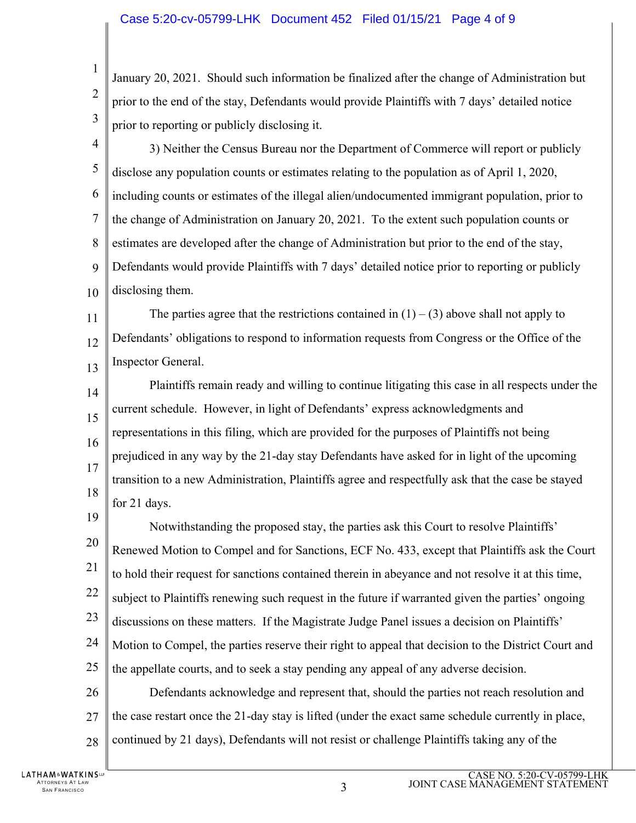## Case 5:20-cv-05799-LHK Document 452 Filed 01/15/21 Page 4 of 9

January 20, 2021. Should such information be finalized after the change of Administration but prior to the end of the stay, Defendants would provide Plaintiffs with 7 days' detailed notice prior to reporting or publicly disclosing it.

4 5 6 7 8 9 10 3) Neither the Census Bureau nor the Department of Commerce will report or publicly disclose any population counts or estimates relating to the population as of April 1, 2020, including counts or estimates of the illegal alien/undocumented immigrant population, prior to the change of Administration on January 20, 2021. To the extent such population counts or estimates are developed after the change of Administration but prior to the end of the stay, Defendants would provide Plaintiffs with 7 days' detailed notice prior to reporting or publicly disclosing them.

11 12 13 The parties agree that the restrictions contained in  $(1) - (3)$  above shall not apply to Defendants' obligations to respond to information requests from Congress or the Office of the Inspector General.

14 15 16 17 18 Plaintiffs remain ready and willing to continue litigating this case in all respects under the current schedule. However, in light of Defendants' express acknowledgments and representations in this filing, which are provided for the purposes of Plaintiffs not being prejudiced in any way by the 21-day stay Defendants have asked for in light of the upcoming transition to a new Administration, Plaintiffs agree and respectfully ask that the case be stayed for 21 days.

19 20 21 22 23 24 25 Notwithstanding the proposed stay, the parties ask this Court to resolve Plaintiffs' Renewed Motion to Compel and for Sanctions, ECF No. 433, except that Plaintiffs ask the Court to hold their request for sanctions contained therein in abeyance and not resolve it at this time, subject to Plaintiffs renewing such request in the future if warranted given the parties' ongoing discussions on these matters. If the Magistrate Judge Panel issues a decision on Plaintiffs' Motion to Compel, the parties reserve their right to appeal that decision to the District Court and the appellate courts, and to seek a stay pending any appeal of any adverse decision.

26 27 28 Defendants acknowledge and represent that, should the parties not reach resolution and the case restart once the 21-day stay is lifted (under the exact same schedule currently in place, continued by 21 days), Defendants will not resist or challenge Plaintiffs taking any of the

1

 $\overline{2}$ 

3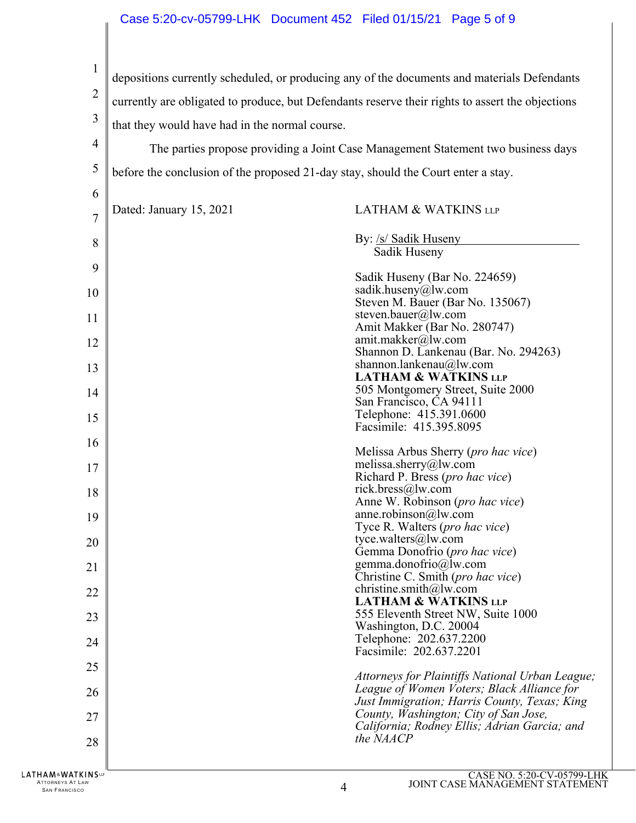## Case 5:20-cv-05799-LHK Document 452 Filed 01/15/21 Page 5 of 9

1 2 3 4 depositions currently scheduled, or producing any of the documents and materials Defendants currently are obligated to produce, but Defendants reserve their rights to assert the objections that they would have had in the normal course. The parties propose providing a Joint Case Management Statement two business days

5 before the conclusion of the proposed 21-day stay, should the Court enter a stay.

| 6              |                         |                                                                                                                                               |
|----------------|-------------------------|-----------------------------------------------------------------------------------------------------------------------------------------------|
| $\overline{7}$ | Dated: January 15, 2021 | <b>LATHAM &amp; WATKINS LLP</b>                                                                                                               |
| 8              |                         | By: /s/ Sadik Huseny<br>Sadik Huseny                                                                                                          |
| 9              |                         | Sadik Huseny (Bar No. 224659)                                                                                                                 |
| 10             |                         | sadik.huseny@lw.com                                                                                                                           |
| 11             |                         | Steven M. Bauer (Bar No. 135067)<br>steven.bauer@lw.com<br>Amit Makker (Bar No. 280747)                                                       |
| 12             |                         | amit.makker@lw.com<br>Shannon D. Lankenau (Bar. No. 294263)                                                                                   |
| 13             |                         | shannon.lankenau@lw.com<br><b>LATHAM &amp; WATKINS LLP</b>                                                                                    |
| 14             |                         | 505 Montgomery Street, Suite 2000<br>San Francisco, CA 94111                                                                                  |
| 15             |                         | Telephone: 415.391.0600<br>Facsimile: 415.395.8095                                                                                            |
| 16             |                         | Melissa Arbus Sherry ( <i>pro hac vice</i> )                                                                                                  |
| 17             |                         | melissa.sherry@lw.com<br>Richard P. Bress (pro hac vice)                                                                                      |
| 18             |                         | rick.bress@lw.com<br>Anne W. Robinson ( <i>pro hac vice</i> )                                                                                 |
| 19             |                         | anne.robinson $@$ lw.com<br>Tyce R. Walters ( <i>pro hac vice</i> )                                                                           |
| 20             |                         | tyce.walters@lw.com<br>Gemma Donofrio (pro hac vice)                                                                                          |
| 21             |                         | gemma.donofrio@lw.com                                                                                                                         |
| 22             |                         | Christine C. Smith ( <i>pro hac vice</i> )<br>christine.smith@lw.com                                                                          |
| 23             |                         | <b>LATHAM &amp; WATKINS LLP</b><br>555 Eleventh Street NW, Suite 1000                                                                         |
| 24             |                         | Washington, D.C. 20004<br>Telephone: 202.637.2200<br>Facsimile: 202.637.2201                                                                  |
| 25             |                         |                                                                                                                                               |
| 26             |                         | Attorneys for Plaintiffs National Urban League;<br>League of Women Voters; Black Alliance for<br>Just Immigration; Harris County, Texas; King |
| 27             |                         | County, Washington; City of San Jose,<br>California; Rodney Ellis; Adrian Garcia; and                                                         |
| 28             |                         | the NAACP                                                                                                                                     |
| TKINS⊞         |                         | CASE NO. 5:20-CV-05799-LF                                                                                                                     |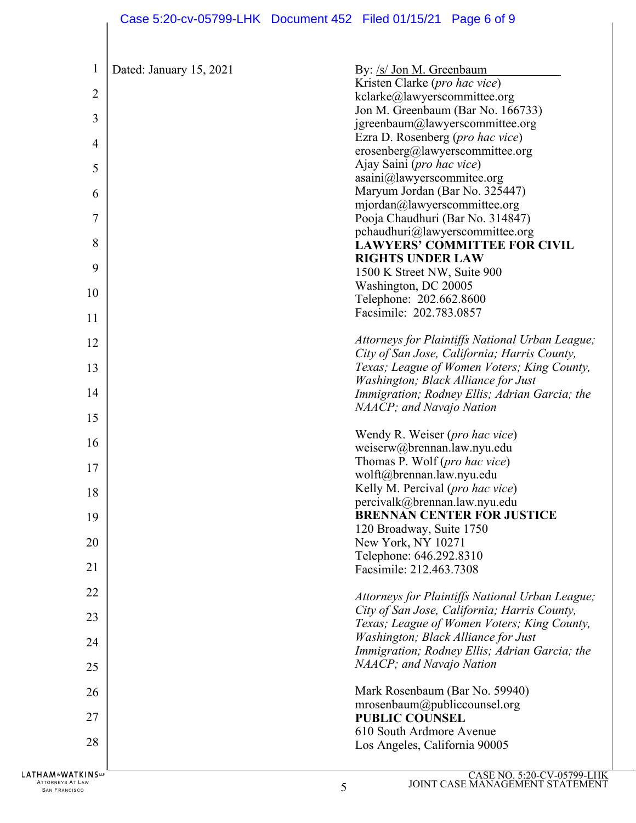|                |                         | Case 5:20-cv-05799-LHK  Document 452  Filed 01/15/21  Page 6 of 9                  |
|----------------|-------------------------|------------------------------------------------------------------------------------|
| 1              | Dated: January 15, 2021 | By: /s/ Jon M. Greenbaum                                                           |
|                |                         | Kristen Clarke (pro hac vice)                                                      |
| $\overline{2}$ |                         | kclarke@lawyerscommittee.org                                                       |
|                |                         | Jon M. Greenbaum (Bar No. 166733)                                                  |
| 3              |                         | jgreenbaum@lawyerscommittee.org                                                    |
| 4              |                         | Ezra D. Rosenberg (pro hac vice)                                                   |
|                |                         | erosenberg@lawyerscommittee.org                                                    |
| 5              |                         | Ajay Saini (pro hac vice)<br>asaini@lawyerscommitee.org                            |
| 6              |                         | Maryum Jordan (Bar No. 325447)                                                     |
|                |                         | mjordan@lawyerscommittee.org                                                       |
| 7              |                         | Pooja Chaudhuri (Bar No. 314847)                                                   |
|                |                         | pchaudhuri@lawyerscommittee.org                                                    |
| 8              |                         | <b>LAWYERS' COMMITTEE FOR CIVIL</b>                                                |
| 9              |                         | <b>RIGHTS UNDER LAW</b>                                                            |
|                |                         | 1500 K Street NW, Suite 900<br>Washington, DC 20005                                |
| 10             |                         | Telephone: 202.662.8600                                                            |
| 11             |                         | Facsimile: 202.783.0857                                                            |
| 12             |                         | Attorneys for Plaintiffs National Urban League;                                    |
|                |                         | City of San Jose, California; Harris County,                                       |
| 13             |                         | Texas; League of Women Voters; King County,<br>Washington; Black Alliance for Just |
| 14             |                         | Immigration; Rodney Ellis; Adrian Garcia; the                                      |
| 15             |                         | NAACP; and Navajo Nation                                                           |
| 16             |                         | Wendy R. Weiser (pro hac vice)                                                     |
|                |                         | weiserw@brennan.law.nyu.edu<br>Thomas P. Wolf (pro hac vice)                       |
| 17             |                         | wolft@brennan.law.nyu.edu                                                          |
| 18             |                         | Kelly M. Percival (pro hac vice)                                                   |
|                |                         | percivalk@brennan.law.nyu.edu                                                      |
| 19             |                         | <b>BRENNAN CENTER FOR JUSTICE</b>                                                  |
|                |                         | 120 Broadway, Suite 1750                                                           |
| 20             |                         | New York, NY 10271<br>Telephone: 646.292.8310                                      |
| 21             |                         | Facsimile: 212.463.7308                                                            |
| 22             |                         | Attorneys for Plaintiffs National Urban League;                                    |
| 23             |                         | City of San Jose, California; Harris County,                                       |
|                |                         | Texas; League of Women Voters; King County,<br>Washington; Black Alliance for Just |
| 24             |                         | Immigration; Rodney Ellis; Adrian Garcia; the                                      |
| 25             |                         | NAACP; and Navajo Nation                                                           |
| 26             |                         | Mark Rosenbaum (Bar No. 59940)                                                     |
| 27             |                         | mrosenbaum@publiccounsel.org<br><b>PUBLIC COUNSEL</b>                              |
|                |                         | 610 South Ardmore Avenue                                                           |
| 28             |                         | Los Angeles, California 90005                                                      |
| TKINSUP        |                         | CASE NO 5:20 CV 05700 LE                                                           |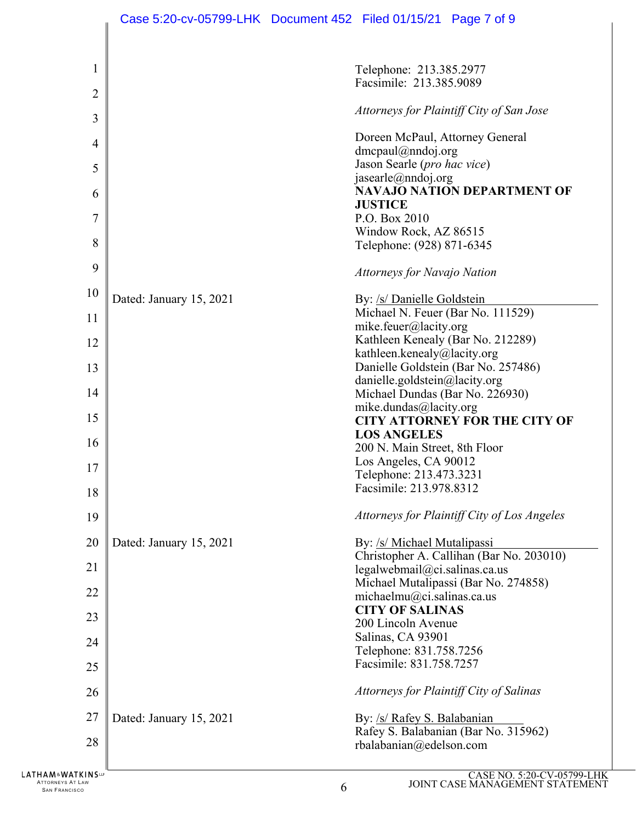|                                          | Case 5:20-cv-05799-LHK Document 452 Filed 01/15/21 Page 7 of 9 |   |                                                    |                                             |
|------------------------------------------|----------------------------------------------------------------|---|----------------------------------------------------|---------------------------------------------|
|                                          |                                                                |   |                                                    |                                             |
| 1                                        |                                                                |   | Telephone: 213.385.2977<br>Facsimile: 213.385.9089 |                                             |
| $\overline{2}$                           |                                                                |   |                                                    |                                             |
| 3                                        |                                                                |   |                                                    | Attorneys for Plaintiff City of San Jose    |
| 4                                        |                                                                |   | Doreen McPaul, Attorney General                    |                                             |
|                                          |                                                                |   | $d$ mcpaul@nndoj.org                               |                                             |
| 5                                        |                                                                |   | Jason Searle (pro hac vice)<br>jasearle@nndoj.org  |                                             |
| 6                                        |                                                                |   |                                                    | <b>NAVAJO NATION DEPARTMENT OF</b>          |
|                                          |                                                                |   | <b>JUSTICE</b>                                     |                                             |
| 7                                        |                                                                |   | P.O. Box 2010<br>Window Rock, AZ 86515             |                                             |
| 8                                        |                                                                |   | Telephone: (928) 871-6345                          |                                             |
| 9                                        |                                                                |   | <b>Attorneys for Navajo Nation</b>                 |                                             |
| 10                                       | Dated: January 15, 2021                                        |   | By: /s/ Danielle Goldstein                         |                                             |
| 11                                       |                                                                |   |                                                    | Michael N. Feuer (Bar No. 111529)           |
|                                          |                                                                |   | mike.feuer@lacity.org                              |                                             |
| 12                                       |                                                                |   | kathleen.kenealy@lacity.org                        | Kathleen Kenealy (Bar No. 212289)           |
| 13                                       |                                                                |   |                                                    | Danielle Goldstein (Bar No. 257486)         |
|                                          |                                                                |   | danielle.goldstein@lacity.org                      |                                             |
| 14                                       |                                                                |   | Michael Dundas (Bar No. 226930)                    |                                             |
| 15                                       |                                                                |   | mike.dundas@lacity.org                             | <b>CITY ATTORNEY FOR THE CITY OF</b>        |
|                                          |                                                                |   | <b>LOS ANGELES</b>                                 |                                             |
| 16                                       |                                                                |   | 200 N. Main Street, 8th Floor                      |                                             |
| 17                                       |                                                                |   | Los Angeles, CA 90012<br>Telephone: 213.473.3231   |                                             |
| 18                                       |                                                                |   | Facsimile: 213.978.8312                            |                                             |
| 19                                       |                                                                |   |                                                    | Attorneys for Plaintiff City of Los Angeles |
| 20                                       | Dated: January 15, 2021                                        |   | By: /s/ Michael Mutalipassi                        |                                             |
| 21                                       |                                                                |   |                                                    | Christopher A. Callihan (Bar No. 203010)    |
|                                          |                                                                |   | legalwebmail@ci.salinas.ca.us                      | Michael Mutalipassi (Bar No. 274858)        |
| 22                                       |                                                                |   | michaelmu@ci.salinas.ca.us                         |                                             |
| 23                                       |                                                                |   | <b>CITY OF SALINAS</b>                             |                                             |
|                                          |                                                                |   | 200 Lincoln Avenue                                 |                                             |
| 24                                       |                                                                |   | Salinas, CA 93901<br>Telephone: 831.758.7256       |                                             |
| 25                                       |                                                                |   | Facsimile: 831.758.7257                            |                                             |
|                                          |                                                                |   |                                                    |                                             |
| 26                                       |                                                                |   |                                                    | Attorneys for Plaintiff City of Salinas     |
| 27                                       | Dated: January 15, 2021                                        |   | By: /s/ Rafey S. Balabanian                        |                                             |
| 28                                       |                                                                |   | rbalabanian@edelson.com                            | Rafey S. Balabanian (Bar No. 315962)        |
| <b>LATHAM&amp;WATKINS</b>                |                                                                |   |                                                    | CASE NO. 5:20-CV-05799-LHK                  |
| ATTORNEYS AT LAW<br><b>SAN FRANCISCO</b> |                                                                | 6 |                                                    | JOINT CASE MANAGEMENT STATEMENT             |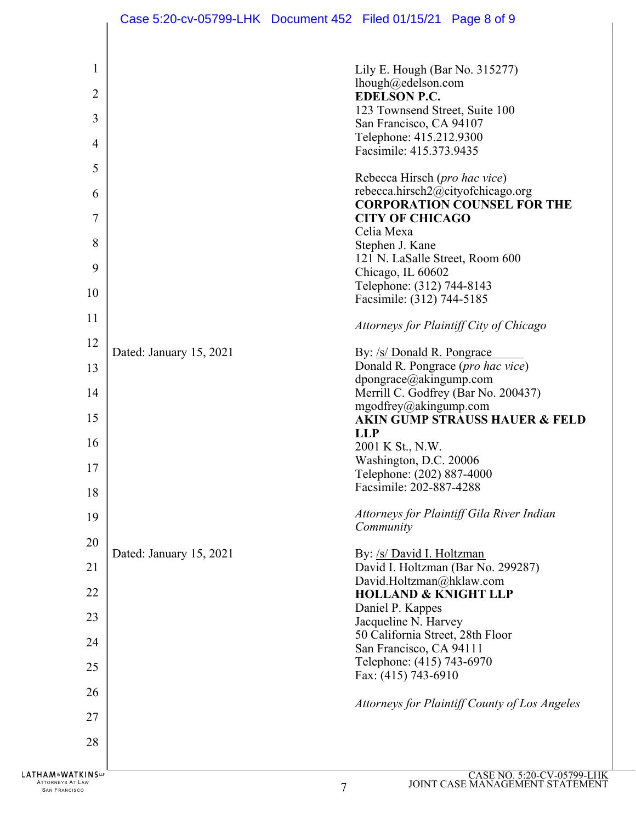|                          |                         | Case 5:20-cv-05799-LHK Document 452 Filed 01/15/21 Page 8 of 9                                                                           |
|--------------------------|-------------------------|------------------------------------------------------------------------------------------------------------------------------------------|
| 1<br>$\overline{2}$<br>3 |                         | Lily E. Hough (Bar No. 315277)<br>lhough@edelson.com<br><b>EDELSON P.C.</b><br>123 Townsend Street, Suite 100<br>San Francisco, CA 94107 |
| $\overline{4}$           |                         | Telephone: 415.212.9300<br>Facsimile: 415.373.9435                                                                                       |
| 5                        |                         | Rebecca Hirsch (pro hac vice)                                                                                                            |
| 6                        |                         | rebecca.hirsch2@cityofchicago.org<br><b>CORPORATION COUNSEL FOR THE</b>                                                                  |
| 7                        |                         | <b>CITY OF CHICAGO</b><br>Celia Mexa                                                                                                     |
| 8<br>9                   |                         | Stephen J. Kane<br>121 N. LaSalle Street, Room 600                                                                                       |
| 10                       |                         | Chicago, IL 60602<br>Telephone: (312) 744-8143                                                                                           |
| 11                       |                         | Facsimile: (312) 744-5185<br>Attorneys for Plaintiff City of Chicago                                                                     |
| 12                       | Dated: January 15, 2021 | By: /s/ Donald R. Pongrace                                                                                                               |
| 13                       |                         | Donald R. Pongrace (pro hac vice)<br>dpongrace@akingump.com                                                                              |
| 14                       |                         | Merrill C. Godfrey (Bar No. 200437)<br>mgodfrey@akingump.com                                                                             |
| 15                       |                         | <b>AKIN GUMP STRAUSS HAUER &amp; FELD</b><br><b>LLP</b>                                                                                  |
| 16<br>17                 |                         | 2001 K St., N.W.<br>Washington, D.C. 20006                                                                                               |
| 18                       |                         | Telephone: (202) 887-4000<br>Facsimile: 202-887-4288                                                                                     |
| 19                       |                         | Attorneys for Plaintiff Gila River Indian                                                                                                |
| 20                       |                         | Community                                                                                                                                |
| 21                       | Dated: January 15, 2021 | By: /s/ David I. Holtzman<br>David I. Holtzman (Bar No. 299287)                                                                          |
| 22                       |                         | David.Holtzman@hklaw.com<br><b>HOLLAND &amp; KNIGHT LLP</b>                                                                              |
| 23                       |                         | Daniel P. Kappes<br>Jacqueline N. Harvey                                                                                                 |
| 24                       |                         | 50 California Street, 28th Floor<br>San Francisco, CA 94111                                                                              |
| 25                       |                         | Telephone: (415) 743-6970<br>Fax: (415) 743-6910                                                                                         |
| 26<br>27                 |                         | Attorneys for Plaintiff County of Los Angeles                                                                                            |
| 28                       |                         |                                                                                                                                          |
| <b>ATKINS</b>            |                         | $CASE NO 5:20-CV-05799-I$                                                                                                                |

ATTORNEYS AT LAW SAN FRANCISCO 7